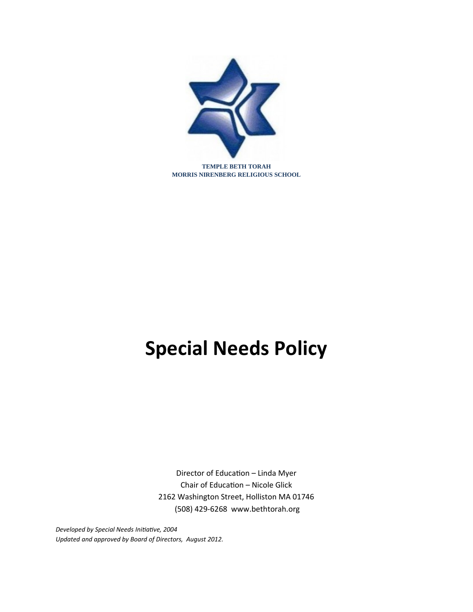

**TEMPLE BETH TORAH MORRIS NIRENBERG RELIGIOUS SCHOOL**

# **Special Needs Policy**

Director of Education - Linda Myer Chair of Education - Nicole Glick 2162 Washington Street, Holliston MA 01746 (508) 429-6268 www.bethtorah.org

**Developed by Special Needs Initiative, 2004** Updated and approved by Board of Directors, August 2012.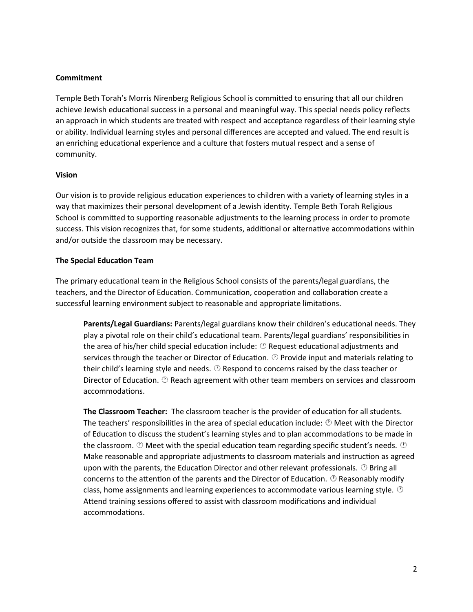# **Commitment**

Temple Beth Torah's Morris Nirenberg Religious School is committed to ensuring that all our children achieve Jewish educational success in a personal and meaningful way. This special needs policy reflects an approach in which students are treated with respect and acceptance regardless of their learning style or ability. Individual learning styles and personal differences are accepted and valued. The end result is an enriching educational experience and a culture that fosters mutual respect and a sense of community.

#### **Vision**

Our vision is to provide religious education experiences to children with a variety of learning styles in a way that maximizes their personal development of a Jewish identity. Temple Beth Torah Religious School is committed to supporting reasonable adjustments to the learning process in order to promote success. This vision recognizes that, for some students, additional or alternative accommodations within and/or outside the classroom may be necessary.

#### **The Special Educaton Team**

The primary educational team in the Religious School consists of the parents/legal guardians, the teachers, and the Director of Education. Communication, cooperation and collaboration create a successful learning environment subject to reasonable and appropriate limitations.

**Parents/Legal Guardians:** Parents/legal guardians know their children's educational needs. They play a pivotal role on their child's educational team. Parents/legal guardians' responsibilities in the area of his/her child special education include:  $\mathcal{D}$  Request educational adjustments and services through the teacher or Director of Education.  $\mathcal D$  Provide input and materials relating to their child's learning style and needs.  $\mathcal D$  Respond to concerns raised by the class teacher or Director of Education.  $\mathcal D$  Reach agreement with other team members on services and classroom accommodations.

The Classroom Teacher: The classroom teacher is the provider of education for all students. The teachers' responsibilities in the area of special education include:  $\mathcal{D}$  Meet with the Director of Education to discuss the student's learning styles and to plan accommodations to be made in the classroom.  $\mathcal{D}$  Meet with the special education team regarding specific student's needs.  $\mathcal{D}$ Make reasonable and appropriate adjustments to classroom materials and instruction as agreed upon with the parents, the Education Director and other relevant professionals.  $\mathcal{D}$  Bring all concerns to the attention of the parents and the Director of Education.  $\mathcal{O}$  Reasonably modify class, home assignments and learning experiences to accommodate various learning style.  $\circledcirc$ Attend training sessions offered to assist with classroom modifications and individual accommodations.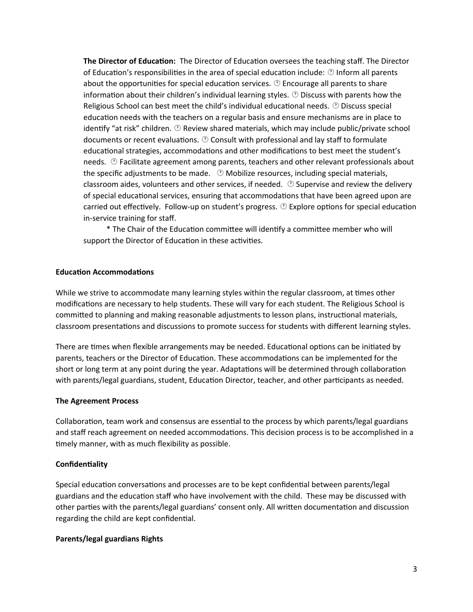**The Director of Education:** The Director of Education oversees the teaching staff. The Director of Education's responsibilities in the area of special education include:  $\circledcirc$  Inform all parents about the opportunities for special education services.  $\circledcirc$  Encourage all parents to share information about their children's individual learning styles.  $\circledcirc$  Discuss with parents how the Religious School can best meet the child's individual educational needs.  $\mathcal{O}$  Discuss special education needs with the teachers on a regular basis and ensure mechanisms are in place to identify "at risk" children.  $\circledcirc$  Review shared materials, which may include public/private school documents or recent evaluations.  $\mathcal D$  Consult with professional and lay staff to formulate educational strategies, accommodations and other modifications to best meet the student's needs.  $\circled{}$  Facilitate agreement among parents, teachers and other relevant professionals about the specific adjustments to be made.  $\circledcirc$  Mobilize resources, including special materials, classroom aides, volunteers and other services, if needed.  $\circledcirc$  Supervise and review the delivery of special educational services, ensuring that accommodations that have been agreed upon are carried out effectively. Follow-up on student's progress.  $\mathcal{O}$  Explore options for special education in-service training for staff.

\* The Chair of the Education committee will identify a committee member who will support the Director of Education in these activities.

#### **Educaton Accommodatons**

While we strive to accommodate many learning styles within the regular classroom, at times other modifications are necessary to help students. These will vary for each student. The Religious School is committed to planning and making reasonable adjustments to lesson plans, instructional materials, classroom presentations and discussions to promote success for students with different learning styles.

There are times when flexible arrangements may be needed. Educational options can be initiated by parents, teachers or the Director of Education. These accommodations can be implemented for the short or long term at any point during the year. Adaptations will be determined through collaboration with parents/legal guardians, student, Education Director, teacher, and other participants as needed.

#### **The Agreement Process**

Collaboration, team work and consensus are essential to the process by which parents/legal guardians and staff reach agreement on needed accommodations. This decision process is to be accomplished in a timely manner, with as much flexibility as possible.

# **Confidentality**

Special education conversations and processes are to be kept confidential between parents/legal guardians and the education staff who have involvement with the child. These may be discussed with other parties with the parents/legal guardians' consent only. All written documentation and discussion regarding the child are kept confidential.

#### **Parents/legal guardians Rights**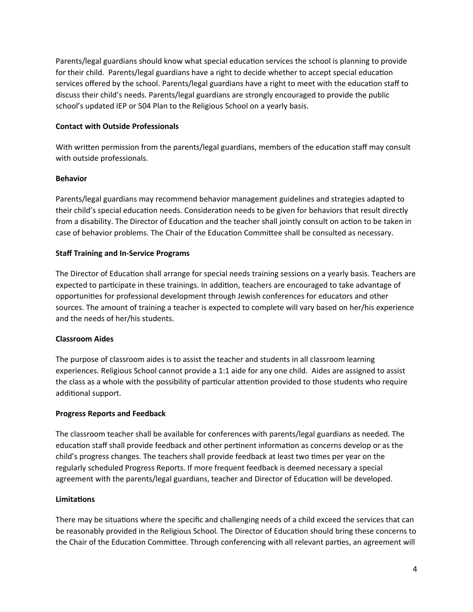Parents/legal guardians should know what special education services the school is planning to provide for their child. Parents/legal guardians have a right to decide whether to accept special education services offered by the school. Parents/legal guardians have a right to meet with the education staff to discuss their child's needs. Parents/legal guardians are strongly encouraged to provide the public school's updated IEP or 504 Plan to the Religious School on a yearly basis.

# **Contact with Outside Professionals**

With written permission from the parents/legal guardians, members of the education staff may consult with outside professionals.

# **Behavior**

Parents/legal guardians may recommend behavior management guidelines and strategies adapted to their child's special education needs. Consideration needs to be given for behaviors that result directly from a disability. The Director of Education and the teacher shall jointly consult on action to be taken in case of behavior problems. The Chair of the Education Committee shall be consulted as necessary.

# **Staff Training and In-Service Programs**

The Director of Education shall arrange for special needs training sessions on a yearly basis. Teachers are expected to participate in these trainings. In addition, teachers are encouraged to take advantage of opportunities for professional development through Jewish conferences for educators and other sources. The amount of training a teacher is expected to complete will vary based on her/his experience and the needs of her/his students.

# **Classroom Aides**

The purpose of classroom aides is to assist the teacher and students in all classroom learning experiences. Religious School cannot provide a 1:1 aide for any one child. Aides are assigned to assist the class as a whole with the possibility of particular attention provided to those students who require additional support.

# **Progress Reports and Feedback**

The classroom teacher shall be available for conferences with parents/legal guardians as needed. The education staff shall provide feedback and other pertinent information as concerns develop or as the child's progress changes. The teachers shall provide feedback at least two times per year on the regularly scheduled Progress Reports. If more frequent feedback is deemed necessary a special agreement with the parents/legal guardians, teacher and Director of Education will be developed.

# **Limitatons**

There may be situations where the specific and challenging needs of a child exceed the services that can be reasonably provided in the Religious School. The Director of Education should bring these concerns to the Chair of the Education Committee. Through conferencing with all relevant parties, an agreement will